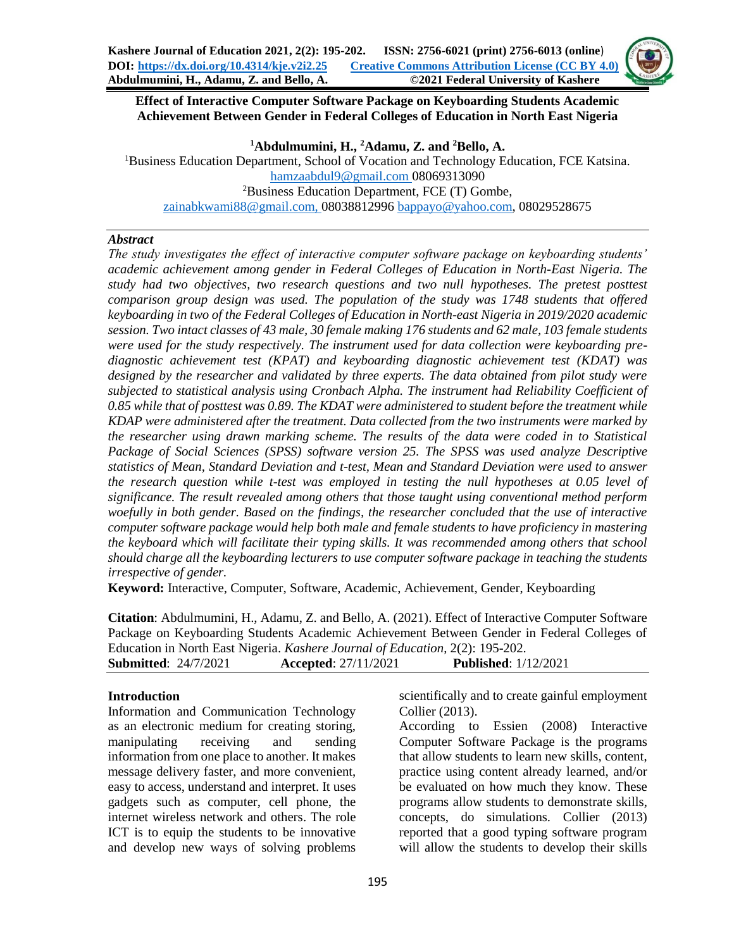

## **Effect of Interactive Computer Software Package on Keyboarding Students Academic Achievement Between Gender in Federal Colleges of Education in North East Nigeria**

**<sup>1</sup>Abdulmumini, H., <sup>2</sup>Adamu, Z. and <sup>2</sup>Bello, A.**

<sup>1</sup>Business Education Department, School of Vocation and Technology Education, FCE Katsina. [hamzaabdul9@gmail.com](mailto:hamzaabdul9@gmail.com) 08069313090 <sup>2</sup>Business Education Department, FCE (T) Gombe, [zainabkwami88@gmail.com,](mailto:zainabkwami88@gmail.com) 08038812996 [bappayo@yahoo.com,](mailto:bappayo@yahoo.com) 08029528675

## *Abstract*

*The study investigates the effect of interactive computer software package on keyboarding students' academic achievement among gender in Federal Colleges of Education in North-East Nigeria. The study had two objectives, two research questions and two null hypotheses. The pretest posttest comparison group design was used. The population of the study was 1748 students that offered keyboarding in two of the Federal Colleges of Education in North-east Nigeria in 2019/2020 academic session. Two intact classes of 43 male, 30 female making 176 students and 62 male, 103 female students were used for the study respectively. The instrument used for data collection were keyboarding prediagnostic achievement test (KPAT) and keyboarding diagnostic achievement test (KDAT) was designed by the researcher and validated by three experts. The data obtained from pilot study were subjected to statistical analysis using Cronbach Alpha. The instrument had Reliability Coefficient of 0.85 while that of posttest was 0.89. The KDAT were administered to student before the treatment while KDAP were administered after the treatment. Data collected from the two instruments were marked by the researcher using drawn marking scheme. The results of the data were coded in to Statistical Package of Social Sciences (SPSS) software version 25. The SPSS was used analyze Descriptive statistics of Mean, Standard Deviation and t-test, Mean and Standard Deviation were used to answer the research question while t-test was employed in testing the null hypotheses at 0.05 level of significance. The result revealed among others that those taught using conventional method perform woefully in both gender. Based on the findings, the researcher concluded that the use of interactive computer software package would help both male and female students to have proficiency in mastering the keyboard which will facilitate their typing skills. It was recommended among others that school should charge all the keyboarding lecturers to use computer software package in teaching the students irrespective of gender.*

**Keyword:** Interactive, Computer, Software, Academic, Achievement, Gender, Keyboarding

**Citation**: Abdulmumini, H., Adamu, Z. and Bello, A. (2021). Effect of Interactive Computer Software Package on Keyboarding Students Academic Achievement Between Gender in Federal Colleges of Education in North East Nigeria. *Kashere Journal of Education*, 2(2): 195-202. **Submitted**: 24/7/2021 **Accepted**: 27/11/2021 **Published**: 1/12/2021

#### **Introduction**

Information and Communication Technology as an electronic medium for creating storing, manipulating receiving and sending information from one place to another. It makes message delivery faster, and more convenient, easy to access, understand and interpret. It uses gadgets such as computer, cell phone, the internet wireless network and others. The role ICT is to equip the students to be innovative and develop new ways of solving problems

scientifically and to create gainful employment Collier (2013).

According to Essien (2008) Interactive Computer Software Package is the programs that allow students to learn new skills, content, practice using content already learned, and/or be evaluated on how much they know. These programs allow students to demonstrate skills, concepts, do simulations. Collier (2013) reported that a good typing software program will allow the students to develop their skills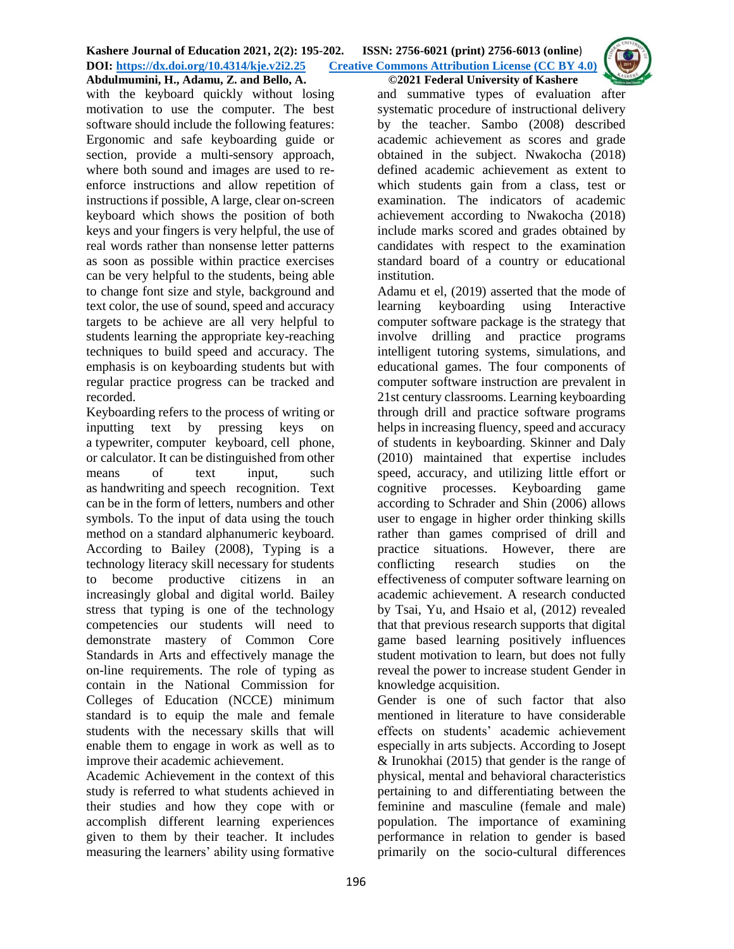with the keyboard quickly without losing motivation to use the computer. The best software should include the following features: Ergonomic and safe keyboarding guide or section, provide a multi-sensory approach, where both sound and images are used to reenforce instructions and allow repetition of instructions if possible, A large, clear on-screen keyboard which shows the position of both keys and your fingers is very helpful, the use of real words rather than nonsense letter patterns as soon as possible within practice exercises can be very helpful to the students, being able to change font size and style, background and text color, the use of sound, speed and accuracy targets to be achieve are all very helpful to students learning the appropriate key-reaching techniques to build speed and accuracy. The emphasis is on keyboarding students but with regular practice progress can be tracked and recorded.

Keyboarding refers to the process of writing or inputting text by pressing keys on a [typewriter,](https://en.wikipedia.org/wiki/Typewriter) [computer keyboard,](https://en.wikipedia.org/wiki/Computer_keyboard) [cell phone,](https://en.wikipedia.org/wiki/Cell_phone) or [calculator.](https://en.wikipedia.org/wiki/Calculator) It can be distinguished from other means of text input, such as [handwriting](https://en.wikipedia.org/wiki/Handwriting_recognition) and [speech recognition.](https://en.wikipedia.org/wiki/Speech_recognition) Text can be in the form of letters, numbers and other symbols. To the input of data using the touch method on a standard alphanumeric keyboard. According to Bailey (2008), Typing is a technology literacy skill necessary for students to become productive citizens in an increasingly global and digital world. Bailey stress that typing is one of the technology competencies our students will need to demonstrate mastery of Common Core Standards in Arts and effectively manage the on-line requirements. The role of typing as contain in the National Commission for Colleges of Education (NCCE) minimum standard is to equip the male and female students with the necessary skills that will enable them to engage in work as well as to improve their academic achievement.

Academic Achievement in the context of this study is referred to what students achieved in their studies and how they cope with or accomplish different learning experiences given to them by their teacher. It includes measuring the learners' ability using formative

and summative types of evaluation after systematic procedure of instructional delivery by the teacher. Sambo (2008) described academic achievement as scores and grade obtained in the subject. Nwakocha (2018) defined academic achievement as extent to which students gain from a class, test or examination. The indicators of academic achievement according to Nwakocha (2018) include marks scored and grades obtained by candidates with respect to the examination standard board of a country or educational institution.

Adamu et el, (2019) asserted that the mode of learning keyboarding using Interactive computer software package is the strategy that involve drilling and practice programs intelligent tutoring systems, simulations, and educational games. The four components of computer software instruction are prevalent in 21st century classrooms. Learning keyboarding through drill and practice software programs helps in increasing fluency, speed and accuracy of students in keyboarding. Skinner and Daly (2010) maintained that expertise includes speed, accuracy, and utilizing little effort or cognitive processes. Keyboarding game according to Schrader and Shin (2006) allows user to engage in higher order thinking skills rather than games comprised of drill and practice situations. However, there are conflicting research studies on the effectiveness of computer software learning on academic achievement. A research conducted by Tsai, Yu, and Hsaio et al, (2012) revealed that that previous research supports that digital game based learning positively influences student motivation to learn, but does not fully reveal the power to increase student Gender in knowledge acquisition.

Gender is one of such factor that also mentioned in literature to have considerable effects on students' academic achievement especially in arts subjects. According to Josept & Irunokhai (2015) that gender is the range of physical, mental and behavioral characteristics pertaining to and differentiating between the feminine and masculine (female and male) population. The importance of examining performance in relation to gender is based primarily on the socio-cultural differences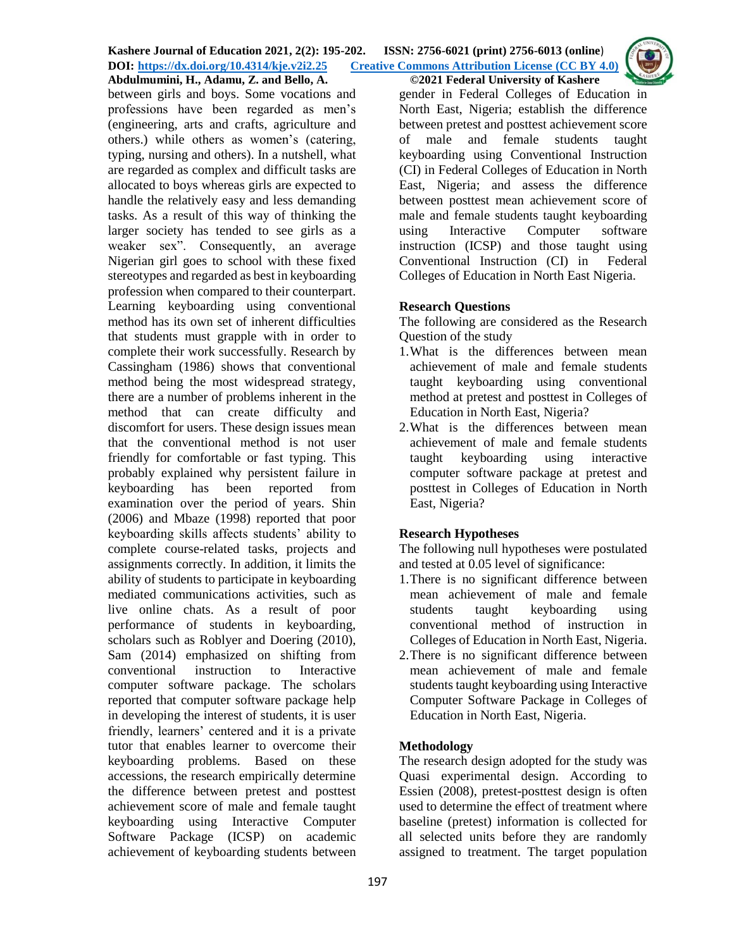

Abdulmumini, H., Adamu, Z. and Bello, A. between girls and boys. Some vocations and professions have been regarded as men's (engineering, arts and crafts, agriculture and others.) while others as women's (catering, typing, nursing and others). In a nutshell, what are regarded as complex and difficult tasks are allocated to boys whereas girls are expected to handle the relatively easy and less demanding tasks. As a result of this way of thinking the larger society has tended to see girls as a weaker sex". Consequently, an average Nigerian girl goes to school with these fixed stereotypes and regarded as best in keyboarding profession when compared to their counterpart. Learning keyboarding using conventional method has its own set of inherent difficulties that students must grapple with in order to complete their work successfully. Research by Cassingham (1986) shows that conventional method being the most widespread strategy, there are a number of problems inherent in the method that can create difficulty and discomfort for users. These design issues mean that the conventional method is not user friendly for comfortable or fast typing. This probably explained why persistent failure in keyboarding has been reported from examination over the period of years. Shin (2006) and Mbaze (1998) reported that poor keyboarding skills affects students' ability to complete course-related tasks, projects and assignments correctly. In addition, it limits the ability of students to participate in keyboarding mediated communications activities, such as live online chats. As a result of poor performance of students in keyboarding, scholars such as Roblyer and Doering (2010), Sam (2014) emphasized on shifting from conventional instruction to Interactive computer software package. The scholars reported that computer software package help in developing the interest of students, it is user friendly, learners' centered and it is a private tutor that enables learner to overcome their keyboarding problems. Based on these accessions, the research empirically determine the difference between pretest and posttest achievement score of male and female taught keyboarding using Interactive Computer Software Package (ICSP) on academic achievement of keyboarding students between

gender in Federal Colleges of Education in North East, Nigeria; establish the difference between pretest and posttest achievement score of male and female students taught keyboarding using Conventional Instruction (CI) in Federal Colleges of Education in North East, Nigeria; and assess the difference between posttest mean achievement score of male and female students taught keyboarding using Interactive Computer software instruction (ICSP) and those taught using Conventional Instruction (CI) in Federal Colleges of Education in North East Nigeria.

## **Research Questions**

The following are considered as the Research Question of the study

- 1.What is the differences between mean achievement of male and female students taught keyboarding using conventional method at pretest and posttest in Colleges of Education in North East, Nigeria?
- 2.What is the differences between mean achievement of male and female students taught keyboarding using interactive computer software package at pretest and posttest in Colleges of Education in North East, Nigeria?

# **Research Hypotheses**

The following null hypotheses were postulated and tested at 0.05 level of significance:

- 1.There is no significant difference between mean achievement of male and female students taught keyboarding using conventional method of instruction in Colleges of Education in North East, Nigeria.
- 2.There is no significant difference between mean achievement of male and female students taught keyboarding using Interactive Computer Software Package in Colleges of Education in North East, Nigeria.

## **Methodology**

The research design adopted for the study was Quasi experimental design. According to Essien (2008), pretest-posttest design is often used to determine the effect of treatment where baseline (pretest) information is collected for all selected units before they are randomly assigned to treatment. The target population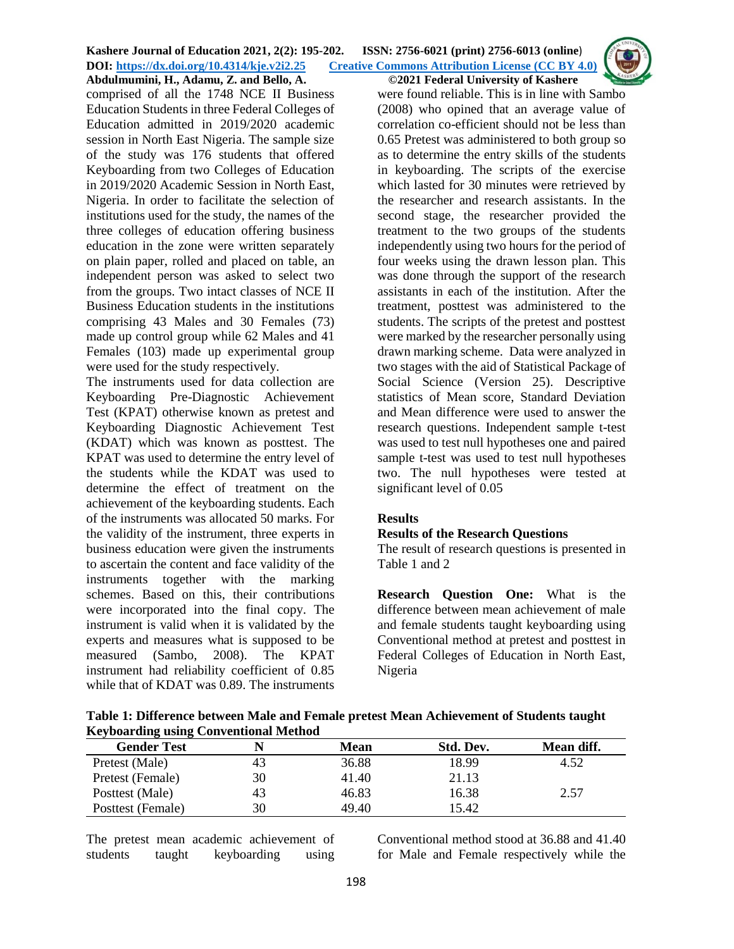

comprised of all the 1748 NCE II Business Education Students in three Federal Colleges of Education admitted in 2019/2020 academic session in North East Nigeria. The sample size of the study was 176 students that offered Keyboarding from two Colleges of Education in 2019/2020 Academic Session in North East, Nigeria. In order to facilitate the selection of institutions used for the study, the names of the three colleges of education offering business education in the zone were written separately on plain paper, rolled and placed on table, an independent person was asked to select two from the groups. Two intact classes of NCE II Business Education students in the institutions comprising 43 Males and 30 Females (73) made up control group while 62 Males and 41 Females (103) made up experimental group were used for the study respectively.

The instruments used for data collection are Keyboarding Pre-Diagnostic Achievement Test (KPAT) otherwise known as pretest and Keyboarding Diagnostic Achievement Test (KDAT) which was known as posttest. The KPAT was used to determine the entry level of the students while the KDAT was used to determine the effect of treatment on the achievement of the keyboarding students. Each of the instruments was allocated 50 marks. For the validity of the instrument, three experts in business education were given the instruments to ascertain the content and face validity of the instruments together with the marking schemes. Based on this, their contributions were incorporated into the final copy. The instrument is valid when it is validated by the experts and measures what is supposed to be measured (Sambo, 2008). The KPAT instrument had reliability coefficient of 0.85 while that of KDAT was 0.89. The instruments

were found reliable. This is in line with Sambo (2008) who opined that an average value of correlation co-efficient should not be less than 0.65 Pretest was administered to both group so as to determine the entry skills of the students in keyboarding. The scripts of the exercise which lasted for 30 minutes were retrieved by the researcher and research assistants. In the second stage, the researcher provided the treatment to the two groups of the students independently using two hours for the period of four weeks using the drawn lesson plan. This was done through the support of the research assistants in each of the institution. After the treatment, posttest was administered to the students. The scripts of the pretest and posttest were marked by the researcher personally using drawn marking scheme. Data were analyzed in two stages with the aid of Statistical Package of Social Science (Version 25). Descriptive statistics of Mean score, Standard Deviation and Mean difference were used to answer the research questions. Independent sample t-test was used to test null hypotheses one and paired sample t-test was used to test null hypotheses two. The null hypotheses were tested at significant level of 0.05

## **Results**

## **Results of the Research Questions**

The result of research questions is presented in Table 1 and 2

**Research Question One:** What is the difference between mean achievement of male and female students taught keyboarding using Conventional method at pretest and posttest in Federal Colleges of Education in North East, Nigeria

**Table 1: Difference between Male and Female pretest Mean Achievement of Students taught Keyboarding using Conventional Method** 

| <b>Gender Test</b> |    | Mean  | Std. Dev. | Mean diff. |
|--------------------|----|-------|-----------|------------|
| Pretest (Male)     | 43 | 36.88 | 18.99     | 4.52       |
| Pretest (Female)   | 30 | 41.40 | 21.13     |            |
| Posttest (Male)    | 43 | 46.83 | 16.38     | 2.57       |
| Posttest (Female)  | 30 | 49.40 | 15.42     |            |

The pretest mean academic achievement of students taught keyboarding using

Conventional method stood at 36.88 and 41.40 for Male and Female respectively while the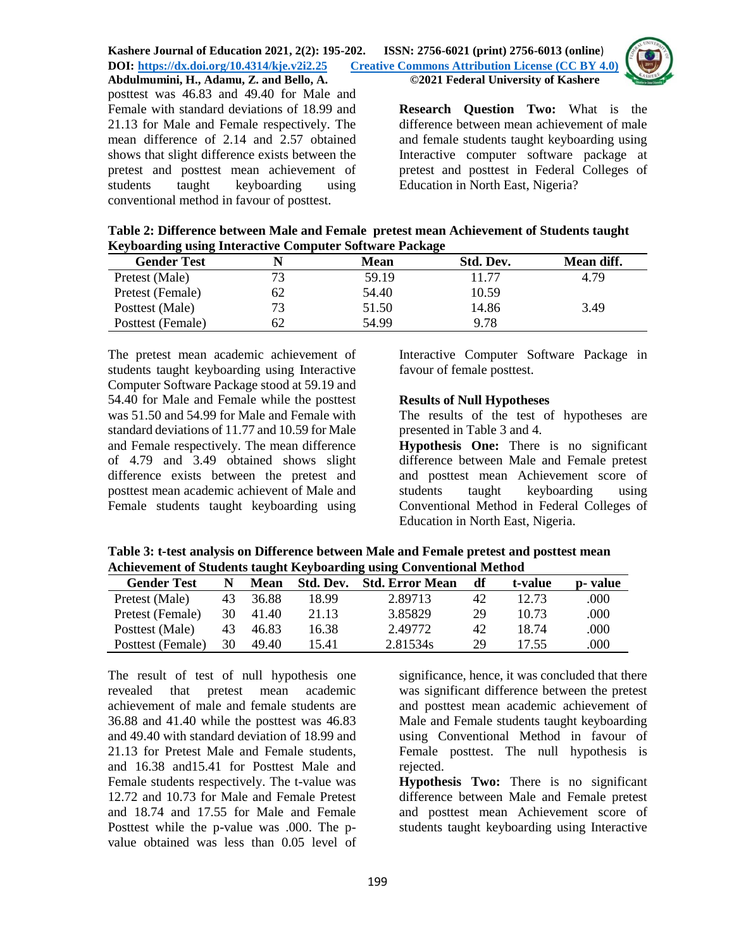

posttest was 46.83 and 49.40 for Male and Female with standard deviations of 18.99 and 21.13 for Male and Female respectively. The mean difference of 2.14 and 2.57 obtained shows that slight difference exists between the pretest and posttest mean achievement of students taught keyboarding using conventional method in favour of posttest.

**Research Question Two:** What is the difference between mean achievement of male and female students taught keyboarding using Interactive computer software package at pretest and posttest in Federal Colleges of Education in North East, Nigeria?

| Table 2: Difference between Male and Female pretest mean Achievement of Students taught |  |
|-----------------------------------------------------------------------------------------|--|
| <b>Keyboarding using Interactive Computer Software Package</b>                          |  |

| <b>Gender Test</b> |    | Mean  | Std. Dev. | Mean diff. |
|--------------------|----|-------|-----------|------------|
| Pretest (Male)     |    | 59.19 | 11.77     | 4.79       |
| Pretest (Female)   | 62 | 54.40 | 10.59     |            |
| Posttest (Male)    |    | 51.50 | 14.86     | 3.49       |
| Posttest (Female)  |    | 54.99 | 9.78      |            |

The pretest mean academic achievement of students taught keyboarding using Interactive Computer Software Package stood at 59.19 and 54.40 for Male and Female while the posttest was 51.50 and 54.99 for Male and Female with standard deviations of 11.77 and 10.59 for Male and Female respectively. The mean difference of 4.79 and 3.49 obtained shows slight difference exists between the pretest and posttest mean academic achievent of Male and Female students taught keyboarding using

Interactive Computer Software Package in favour of female posttest.

## **Results of Null Hypotheses**

The results of the test of hypotheses are presented in Table 3 and 4.

**Hypothesis One:** There is no significant difference between Male and Female pretest and posttest mean Achievement score of students taught keyboarding using Conventional Method in Federal Colleges of Education in North East, Nigeria.

**Table 3: t-test analysis on Difference between Male and Female pretest and posttest mean Achievement of Students taught Keyboarding using Conventional Method**

| <b>Gender Test</b> | N  | Mean  |       | <b>Std. Dev.</b> Std. Error Mean | df | t-value | p- value |
|--------------------|----|-------|-------|----------------------------------|----|---------|----------|
| Pretest (Male)     | 43 | 36.88 | 18.99 | 2.89713                          | 42 | 12.73   | .000     |
| Pretest (Female)   | 30 | 41.40 | 21.13 | 3.85829                          | 29 | 10.73   | .000     |
| Posttest (Male)    | 43 | 46.83 | 16.38 | 2.49772                          | 42 | 18.74   | .000     |
| Posttest (Female)  | 30 | 49.40 | 15.41 | 2.81534s                         | 29 | 17.55   | .000     |

The result of test of null hypothesis one revealed that pretest mean academic achievement of male and female students are 36.88 and 41.40 while the posttest was 46.83 and 49.40 with standard deviation of 18.99 and 21.13 for Pretest Male and Female students, and 16.38 and15.41 for Posttest Male and Female students respectively. The t-value was 12.72 and 10.73 for Male and Female Pretest and 18.74 and 17.55 for Male and Female Posttest while the p-value was .000. The pvalue obtained was less than 0.05 level of

significance, hence, it was concluded that there was significant difference between the pretest and posttest mean academic achievement of Male and Female students taught keyboarding using Conventional Method in favour of Female posttest. The null hypothesis is rejected.

**Hypothesis Two:** There is no significant difference between Male and Female pretest and posttest mean Achievement score of students taught keyboarding using Interactive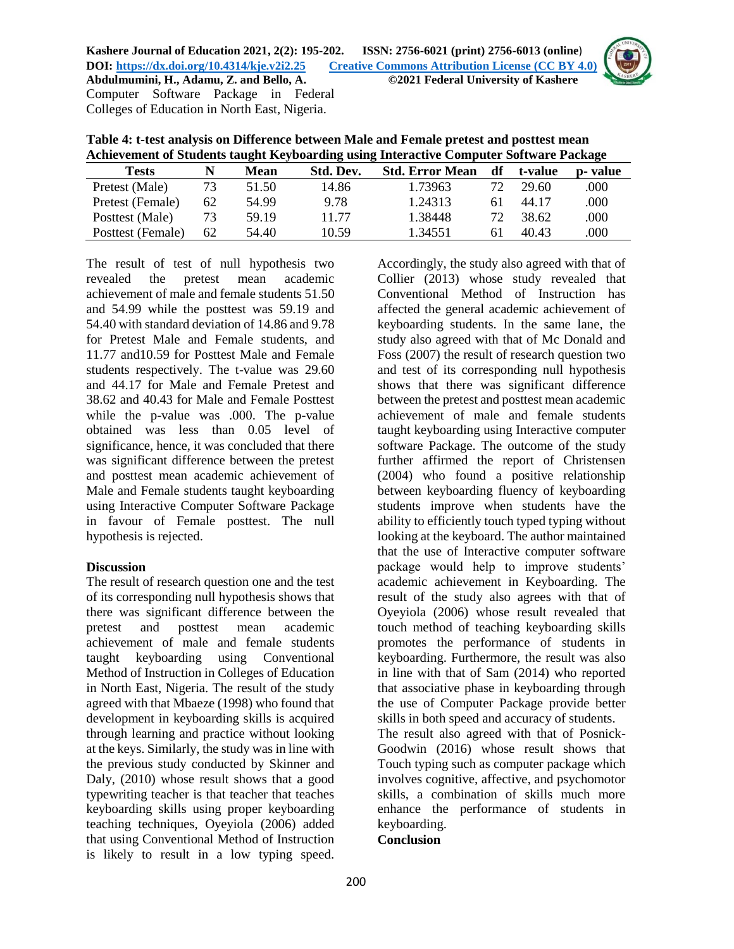

| Achievement of Students taught Keyboarding using Interactive Computer Software Package |    |       |           |                        |    |         |          |
|----------------------------------------------------------------------------------------|----|-------|-----------|------------------------|----|---------|----------|
| <b>Tests</b>                                                                           |    | Mean  | Std. Dev. | <b>Std. Error Mean</b> | df | t-value | p- value |
| Pretest (Male)                                                                         | 73 | 51.50 | 14.86     | 1.73963                | 72 | 29.60   | .000     |
| Pretest (Female)                                                                       | 62 | 54.99 | 9.78      | 1.24313                | 61 | 44.17   | .000     |
| Posttest (Male)                                                                        | 73 | 59.19 | 11.77     | 1.38448                |    | 38.62   | .000     |

Posttest (Female) 62 54.40 10.59 1.34551 61 40.43 .000

**Table 4: t-test analysis on Difference between Male and Female pretest and posttest mean** 

The result of test of null hypothesis two revealed the pretest mean academic achievement of male and female students 51.50 and 54.99 while the posttest was 59.19 and 54.40 with standard deviation of 14.86 and 9.78 for Pretest Male and Female students, and 11.77 and10.59 for Posttest Male and Female students respectively. The t-value was 29.60 and 44.17 for Male and Female Pretest and 38.62 and 40.43 for Male and Female Posttest while the p-value was .000. The p-value obtained was less than 0.05 level of significance, hence, it was concluded that there was significant difference between the pretest and posttest mean academic achievement of Male and Female students taught keyboarding using Interactive Computer Software Package in favour of Female posttest. The null hypothesis is rejected.

Colleges of Education in North East, Nigeria.

## **Discussion**

The result of research question one and the test of its corresponding null hypothesis shows that there was significant difference between the pretest and posttest mean academic achievement of male and female students taught keyboarding using Conventional Method of Instruction in Colleges of Education in North East, Nigeria. The result of the study agreed with that Mbaeze (1998) who found that development in keyboarding skills is acquired through learning and practice without looking at the keys. Similarly, the study was in line with the previous study conducted by Skinner and Daly, (2010) whose result shows that a good typewriting teacher is that teacher that teaches keyboarding skills using proper keyboarding teaching techniques, Oyeyiola (2006) added that using Conventional Method of Instruction is likely to result in a low typing speed.

Accordingly, the study also agreed with that of Collier (2013) whose study revealed that Conventional Method of Instruction has affected the general academic achievement of keyboarding students. In the same lane, the study also agreed with that of Mc Donald and Foss (2007) the result of research question two and test of its corresponding null hypothesis shows that there was significant difference between the pretest and posttest mean academic achievement of male and female students taught keyboarding using Interactive computer software Package. The outcome of the study further affirmed the report of Christensen (2004) who found a positive relationship between keyboarding fluency of keyboarding students improve when students have the ability to efficiently touch typed typing without looking at the keyboard. The author maintained that the use of Interactive computer software package would help to improve students' academic achievement in Keyboarding. The result of the study also agrees with that of Oyeyiola (2006) whose result revealed that touch method of teaching keyboarding skills promotes the performance of students in keyboarding. Furthermore, the result was also in line with that of Sam (2014) who reported that associative phase in keyboarding through the use of Computer Package provide better skills in both speed and accuracy of students. The result also agreed with that of Posnick-Goodwin (2016) whose result shows that Touch typing such as computer package which involves cognitive, affective, and psychomotor skills, a combination of skills much more enhance the performance of students in keyboarding.

#### **Conclusion**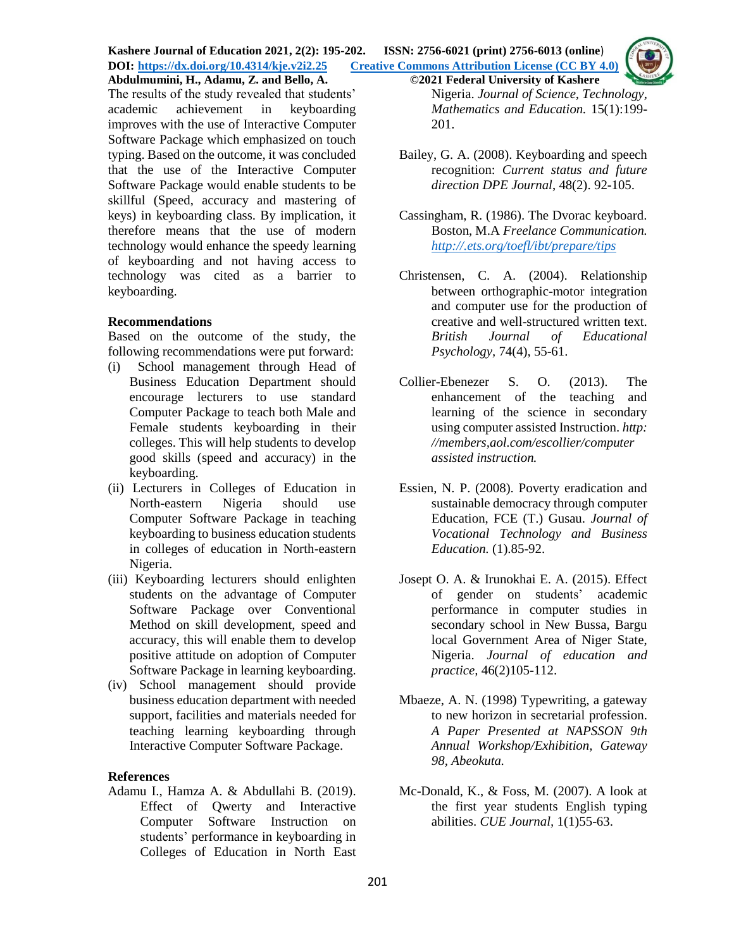**Kashere Journal of Education 2021, 2(2): 195-202. ISSN: 2756-6021 (print) 2756-6013 (online**) **DOI: <https://dx.doi.org/10.4314/kje.v2i2.25> [Creative Commons Attribution License](http://creativecommons.org/licenses/by/4.0/) (CC BY 4.0) Abdulmumini, H., Adamu, Z. and Bello, A. ©2021 Federal University of Kashere**

The results of the study revealed that students' academic achievement in keyboarding improves with the use of Interactive Computer Software Package which emphasized on touch typing. Based on the outcome, it was concluded that the use of the Interactive Computer Software Package would enable students to be skillful (Speed, accuracy and mastering of keys) in keyboarding class. By implication, it therefore means that the use of modern technology would enhance the speedy learning of keyboarding and not having access to technology was cited as a barrier to keyboarding.

#### **Recommendations**

Based on the outcome of the study, the following recommendations were put forward:

- (i) School management through Head of Business Education Department should encourage lecturers to use standard Computer Package to teach both Male and Female students keyboarding in their colleges. This will help students to develop good skills (speed and accuracy) in the keyboarding.
- (ii) Lecturers in Colleges of Education in North-eastern Nigeria should use Computer Software Package in teaching keyboarding to business education students in colleges of education in North-eastern Nigeria.
- (iii) Keyboarding lecturers should enlighten students on the advantage of Computer Software Package over Conventional Method on skill development, speed and accuracy, this will enable them to develop positive attitude on adoption of Computer Software Package in learning keyboarding.
- (iv) School management should provide business education department with needed support, facilities and materials needed for teaching learning keyboarding through Interactive Computer Software Package.

#### **References**

Adamu I., Hamza A. & Abdullahi B. (2019). Effect of Qwerty and Interactive Computer Software Instruction on students' performance in keyboarding in Colleges of Education in North East

Nigeria. *Journal of Science, Technology, Mathematics and Education.* 15(1):199- 201.

- Bailey, G. A. (2008). Keyboarding and speech recognition: *Current status and future direction DPE Journal*, 48(2). 92-105.
- Cassingham, R. (1986). The Dvorac keyboard. Boston, M.A *Freelance Communication. <http://.ets.org/toefl/ibt/prepare/tips>*
- Christensen, C. A. (2004). Relationship between orthographic-motor integration and computer use for the production of creative and well-structured written text. *British Journal of Educational Psychology,* 74(4), 55-61.
- Collier-Ebenezer S. O. (2013). The enhancement of the teaching and learning of the science in secondary using computer assisted Instruction. *http: //members,aol.com/escollier/computer assisted instruction.*
- Essien, N. P. (2008). Poverty eradication and sustainable democracy through computer Education, FCE (T.) Gusau. *Journal of Vocational Technology and Business Education.* (1).85-92.
- Josept O. A. & Irunokhai E. A. (2015). Effect of gender on students' academic performance in computer studies in secondary school in New Bussa, Bargu local Government Area of Niger State, Nigeria. *Journal of education and practice,* 46(2)105-112.
- Mbaeze, A. N. (1998) Typewriting, a gateway to new horizon in secretarial profession. *A Paper Presented at NAPSSON 9th Annual Workshop/Exhibition, Gateway 98, Abeokuta.*
- Mc-Donald, K., & Foss, M. (2007). A look at the first year students English typing abilities. *CUE Journal,* 1(1)55-63.